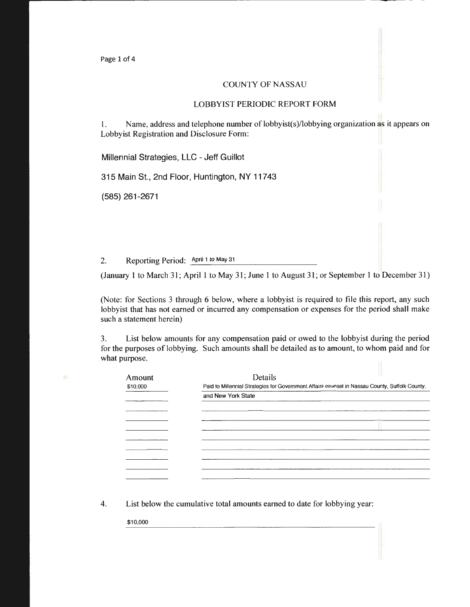Page 1 of 4

## COUNTY OF NASSAU

## LOBBYIST PERIODIC REPORT FORM

1. Name, address and telephone number of lobbyist(s)/lobbying organization as it appears on Lobbyist Registration and Disclosure Form:

Millennia! Strategies, LLC - Jeff Guillot

315 Main St., 2nd Floor, Huntington, NY 11743

(585) 261-2671

2. Reporting Period: April 1 to May 31

(January 1 to March 31; April 1 to May 31; June 1 to August 31; or September 1 to December 31)

(Note: for Sections 3 through 6 below, where a lobbyist is required to file this report, any such lobbyist that has not earned or incurred any compensation or expenses for the period shall make such a statement herein)

3. List below amounts for any compensation paid or owed to the lobbyist during the period for the purposes of lobbying. Such amounts shall be detailed as to amount, to whom paid and for what purpose.

| Amount   | Details                                                                                        |  |
|----------|------------------------------------------------------------------------------------------------|--|
| \$10,000 | Paid to Millennial Strategies for Government Affairs counsel in Nassau County, Suffolk County, |  |
|          | and New York State                                                                             |  |
|          |                                                                                                |  |
|          |                                                                                                |  |
|          |                                                                                                |  |
|          |                                                                                                |  |
|          |                                                                                                |  |
|          |                                                                                                |  |
|          |                                                                                                |  |
|          |                                                                                                |  |

4. List below the cumulative total amounts earned to date for lobbying year:

\$10,000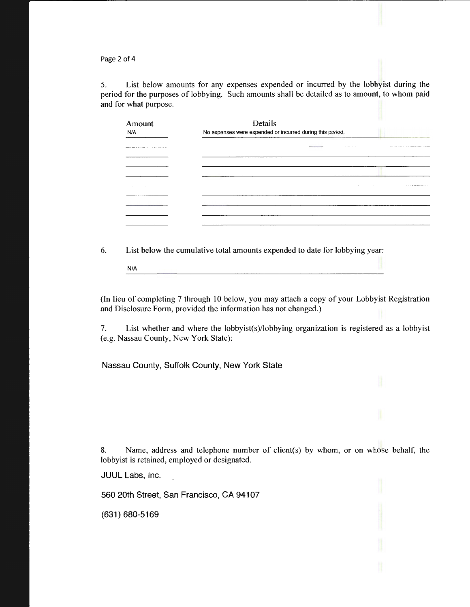Page 2 of 4

5. List below amounts for any expenses expended or incurred by the lobbyist during the period for the purposes of lobbying. Such amounts shall be detailed as to amount, to whom paid and for what purpose.

| Amount<br>N/A | Details<br>No expenses were expended or incurred during this period. |  |
|---------------|----------------------------------------------------------------------|--|
|               |                                                                      |  |
|               |                                                                      |  |
|               |                                                                      |  |
|               |                                                                      |  |
|               |                                                                      |  |
|               |                                                                      |  |
|               |                                                                      |  |

6. List below the cumulative total amounts expended to date for lobbying year: N/A

(In lieu of completing 7 through 10 below, you may attach a copy of your Lobbyist Registration and Disclosure Form, provided the information has not changed.)

7. List whether and where the lobbyist(s)/lobbying organization is registered as a lobbyist (e.g. Nassau County, New York State):

Nassau County, Suffolk County, New York State

8. Name, address and telephone number of client(s) by whom, or on whose behalf, the lobbyist is retained, employed or designated.

JUUL Labs, Inc.

560 20th Street, San Francisco, CA 94107

(631) 680-5169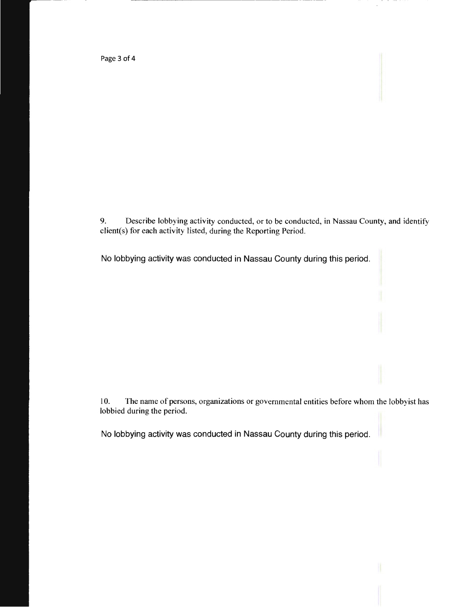Page 3 of 4

9. Describe lobbying activity conducted, or to be conducted, in Nassau County, and identify client(s) for each activity listed, during the Reporting Period.

No lobbying activity was conducted in Nassau County during this period.

r-------------------------------------------------------------------------·--------·----

10. The name of persons, organizations or governmental entities before whom the lobbyist has lobbied during the period.

No lobbying activity was conducted in Nassau County during this period.